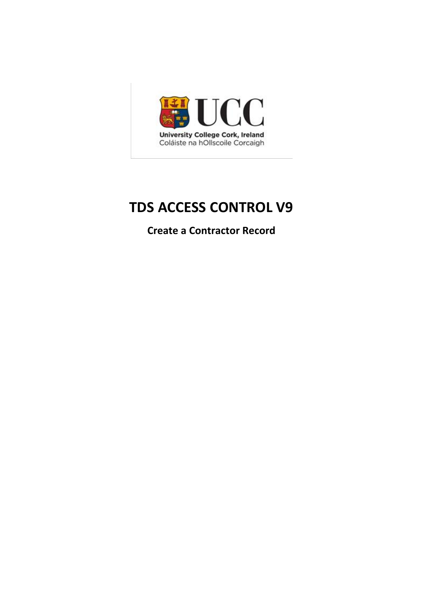

# **TDS ACCESS CONTROL V9**

**Create a Contractor Record**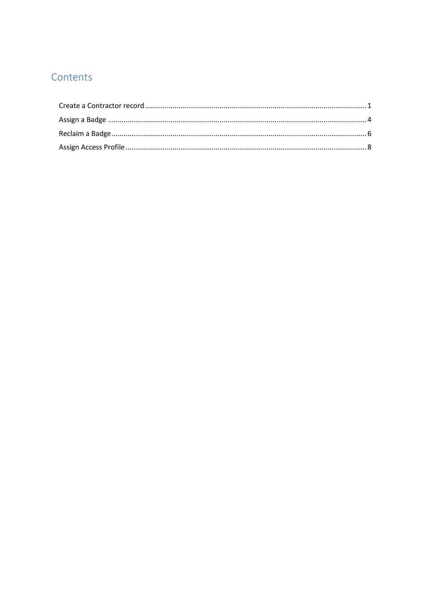# Contents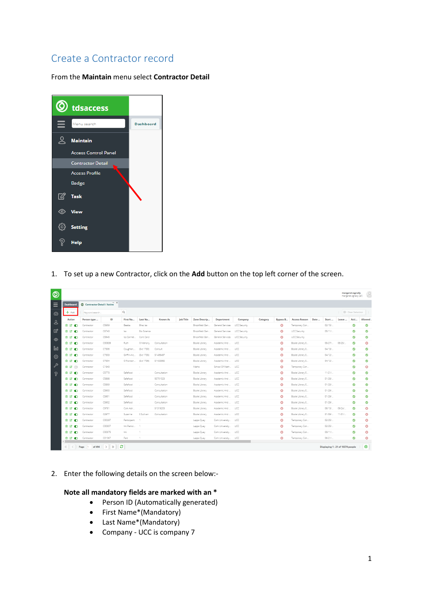# <span id="page-2-0"></span>Create a Contractor record

From the **Maintain** menu select **Contractor Detail**



1. To set up a new Contractor, click on the **Add** button on the top left corner of the screen.

| ◎              |                     |                              |                             |               |             |                 |                  |                 |                  |                     |          |                       |                      |      |          |                                   | margaret.ogrady<br>margaret.ogrady (all) | 2                     |
|----------------|---------------------|------------------------------|-----------------------------|---------------|-------------|-----------------|------------------|-----------------|------------------|---------------------|----------|-----------------------|----------------------|------|----------|-----------------------------------|------------------------------------------|-----------------------|
| Ξ              | <b>Dashboard</b>    | C Contractor Detail / Active | $- x$                       |               |             |                 |                  |                 |                  |                     |          |                       |                      |      |          |                                   |                                          |                       |
| ⊕              | $+$ Add             | Keyword search.              |                             | $\mathsf Q$   |             |                 |                  |                 |                  |                     |          |                       |                      |      |          |                                   | <b>E</b> Clear Selection                 |                       |
| &              | <b>Action</b>       | Person type                  | ID                          | First Na.,    | Last Na     | <b>Known As</b> | <b>Job Title</b> | Zone Descrip    | Department       | Company             | Category | <b>Bypass B</b>       | <b>Access Reason</b> | Date | Start    | Leave                             | Acti                                     | Allowed               |
|                | 自己の                 | Contractor                   | C5959                       | Beatta        | Bhsc Iss    |                 |                  | Brookfield Gen  | General Services | UCC Security        |          | $\boldsymbol{\Omega}$ | Temporary Con        |      | $02/15/$ |                                   | Ø                                        | Ø                     |
| $\boxtimes$    | 自望の                 | Contractor                   | C6743                       | Iss.          | Bio Science |                 |                  | Brookfield Gen. | General Services | <b>UCC Security</b> |          | $\boldsymbol{\Omega}$ | <b>UCC Security</b>  |      | $05/11/$ |                                   | ✅                                        | Ø                     |
| $\circledcirc$ | <b>BEO</b>          | Contractor                   | C5945                       | Iss Carmel    | Cont Card   |                 |                  | Brookfield Gen. | General Services | <b>UCC Security</b> |          | $\boldsymbol{\omega}$ | <b>UCC Security</b>  |      |          |                                   | Ø                                        | $\bullet$             |
|                | <b>BEO</b>          | Contractor                   | C00839                      | Ruth          | O Mahony    | Consultation    |                  | Boole Library   | Academic And     | UCC                 |          | $\boldsymbol{\Omega}$ | Boole Library E.,    |      | 05/27/   | 06/25/                            | Ø                                        | $\boldsymbol{\Omega}$ |
| 0 <sub>0</sub> | 自留の                 | Contractor                   | C7306                       | Coughlan,     | (Ext 1730)  | Consult         |                  | Boole Library   | Academic And     | UCC                 |          | $\boldsymbol{\Omega}$ | Boole Library E      |      | 04/13/   |                                   | Ø                                        | Ø                     |
| හ              | 自喜心                 | Contractor                   | C7303                       | Griffin-Hic   | (Ext 1735)  | 51499497        |                  | Boole Library   | Academic And     | UCC                 |          | $\boldsymbol{\omega}$ | Boole Library E      |      | 04/12/   |                                   | Ø                                        | Ø                     |
|                | 自动的                 | Contractor                   | C7304                       | O Riordan     | (Ext 1736)  | 51425982        |                  | Boole Library   | Academic And     | UCC                 |          | $\boldsymbol{\Omega}$ | Boole Library E      |      | 04/12/   |                                   | ☑                                        | Ø                     |
| P              | 自国の                 | Contractor                   | C1943                       |               | ×           |                 |                  | Maths           | School Of Math   | <b>UCC</b>          |          | $\boldsymbol{\Omega}$ | Temporary Con        |      |          |                                   | Ø                                        | $\bullet$             |
| อ              | 自留の                 | Contractor                   | C5773                       | Safefood      |             | Consultation    |                  | Boole Library   | Academic And     | UCC                 |          | $\boldsymbol{\Omega}$ | Boole Library E      |      | 11/21/   |                                   | Ø                                        | Ø                     |
|                | 自己<br>$\bullet$     | Contractor                   | C5898                       | Safefood      |             | 50701023        |                  | Boole Library   | Academic And     | UCC                 |          | $\boldsymbol{\omega}$ | Boole Library E      |      | 01/29/   |                                   | ✅                                        | ☺                     |
|                | 自己<br>O             | Contractor                   | C5899                       | Safefood      |             | Consultation    |                  | Boole Library   | Academic And     | ucc                 |          | $\boldsymbol{\Omega}$ | Boole Library E      |      | 01/29/   |                                   | Ø                                        | Ø                     |
|                | 食 ば<br>Ð            | Contractor                   | C5900                       | Safefood      |             | Consultation    |                  | Boole Library   | Academic And     | UCC                 |          | $\boldsymbol{\Omega}$ | Boole Library E      |      | 01/29/   |                                   | $\bullet$                                | $\bullet$             |
|                | ■ ■<br>$\bullet$    | Contractor                   | C5901                       | Safefood      |             | Consultation    |                  | Boole Library   | Academic And     | UCC                 |          | $\boldsymbol{\Omega}$ | Boole Library E      |      | 01/29/   |                                   | Ø                                        | Ø                     |
|                | 自己の                 | Contractor                   | C5902                       | Safefood      |             | Consultation    |                  | Boole Library   | Academic And     | UCC                 |          | $\boldsymbol{\Omega}$ | Boole Library E      |      | 01/29/   |                                   | ☑                                        | Ø                     |
|                | 自己<br>Ð             | Contractor                   | C9781                       | Cork Astr.    |             | 51319203        |                  | Boole Library   | Academic And     | UCC                 |          | $\boldsymbol{\Omega}$ | Boole Library E      |      | 06/13/   | 09/24/                            | అ                                        | $\boldsymbol{\Omega}$ |
|                | $\blacksquare$      | Contractor                   | C2977                       | Suzanne       | 0 Sullivan  | Consultation    |                  | Boole Library   | Academic And     | UCC.                |          | $\boldsymbol{\Omega}$ | Boole Library E      |      | 01/09/   | $11/01/$                          | Ø                                        | $\boldsymbol{\Omega}$ |
|                | <b>ÊØO</b>          | Contractor                   | C00297                      | Participant   |             |                 |                  | Lapps Quay      | Cork University  | UCC                 |          | $\boldsymbol{\Omega}$ | Temporary Con        |      | 02/25/   |                                   | $\bullet$                                | $\boldsymbol{\Omega}$ |
|                | 俞 欣<br>O            | Contractor                   | C00307                      | Imi Partici 1 |             |                 |                  | Lapps Quay      | Cork University  | UCC                 |          | $\boldsymbol{\Omega}$ | Temporary Con        |      | $02/25/$ |                                   | Ø                                        | $\bullet$             |
|                | 自己<br>$\bullet$     | Contractor                   | C00375                      | Imi           | 1.          |                 |                  | Lapps Quay      | Cork University  | UCC                 |          | o                     | Temporary Con        |      | $03/11/$ |                                   | అ                                        | $\boldsymbol{\Omega}$ |
|                | 自喜心<br>$\leftarrow$ | Contractor                   | C01067                      | Part          | 1           |                 |                  | Lapps Quay      | Cork University  | UCC                 |          | $\boldsymbol{\Omega}$ | Temporary Con        |      | 06/21/   |                                   | Ø                                        | O                     |
|                | $\ll$               | Page<br>of 494<br>$\sim$     | $\rightarrow$ $\rightarrow$ | c             |             |                 |                  |                 |                  |                     |          |                       |                      |      |          | Displaying 1 - 21 of 10374 people |                                          | ⊕                     |

2. Enter the following details on the screen below:-

### **Note all mandatory fields are marked with an \***

- Person ID (Automatically generated)
- First Name\*(Mandatory)
- Last Name\*(Mandatory)
- Company UCC is company 7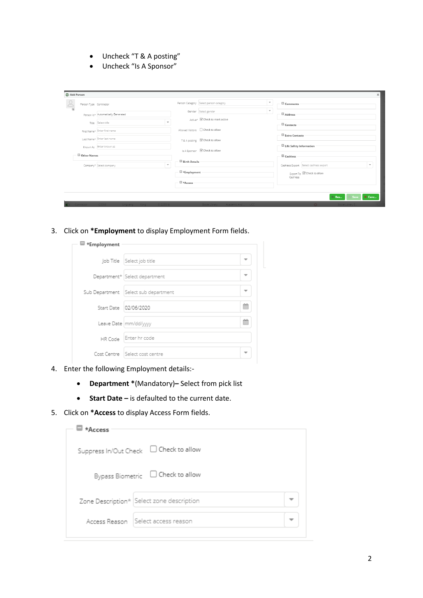- Uncheck "T & A posting"
- Uncheck "Is A Sponsor"

| Add Person                         |                                                  |                                        |                          |                                                                    |
|------------------------------------|--------------------------------------------------|----------------------------------------|--------------------------|--------------------------------------------------------------------|
| Person Type Contractor<br>$\leq$   |                                                  | Person Category Select person category | $\overline{\phantom{a}}$ | Comments                                                           |
| Person Id* Automatically Generated |                                                  | Gender Select gender                   | $\mathbf{v}$             | <b>D</b> Address                                                   |
| Title Select title                 | $\overline{\phantom{a}}$                         | Active* GCheck to mark active          |                          | $\Box$ Contacts                                                    |
| First Name* Enter first name       |                                                  | Allowed Visitors $\Box$ Check to allow |                          |                                                                    |
| Last Name* Enter last name         |                                                  | T& A posting G Check to allow          |                          | Extra Contacts                                                     |
| Known As Enter known as            |                                                  | Is A Sponsor G Check to allow          |                          | Life Safety Information                                            |
| Other Names                        |                                                  |                                        |                          | $\blacksquare$ Cashless                                            |
| Company* Select company            | <b>Birth Details</b><br>$\overline{\phantom{a}}$ |                                        |                          | Cashless Export Select cashless export<br>$\overline{\phantom{a}}$ |
|                                    | Employment                                       |                                        |                          | Export To Check to allow<br>Cashless                               |
|                                    | El *Access                                       |                                        |                          |                                                                    |
|                                    |                                                  |                                        |                          |                                                                    |
|                                    |                                                  |                                        |                          | Save X Canc<br><b>Res</b>                                          |

3. Click on **\*Employment** to display Employment Form fields.

| *Employment |                                        |   |
|-------------|----------------------------------------|---|
|             | Job Title Select job title             |   |
|             | Department*   Select department        |   |
|             | Sub Department   Select sub department |   |
|             | Start Date   02/06/2020                | 鷓 |
|             | Leave Date   mm/dd/yyyy                | 鷓 |
| HR Code     | Enter hr code                          |   |
|             | Cost Centre Select cost centre         |   |

- 4. Enter the following Employment details:-
	- **Department \***(Mandatory)**–** Select from pick list
	- **Start Date –** is defaulted to the current date.
- 5. Click on **\*Access** to display Access Form fields.

| $*Access$ |                                           |  |
|-----------|-------------------------------------------|--|
|           |                                           |  |
|           | Bypass Biometric $\Box$ Check to allow    |  |
|           | Zone Description* Select zone description |  |
|           | Access Reason Select access reason        |  |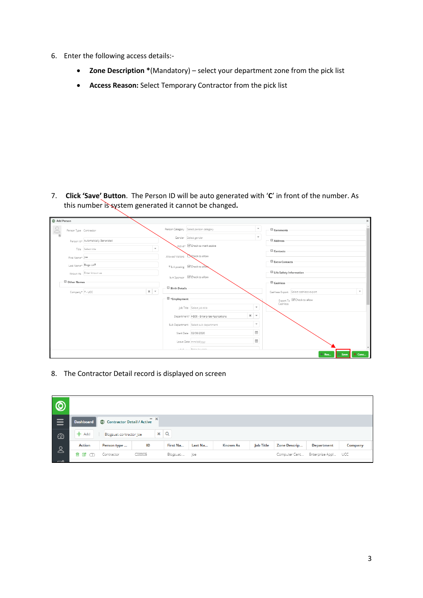- 6. Enter the following access details:-
	- **Zone Description \***(Mandatory) select your department zone from the pick list
	- **Access Reason:** Select Temporary Contractor from the pick list

7. **Click 'Save' Button**. The Person ID will be auto generated with '**C**' in front of the number. As this number is system generated it cannot be changed**.**

| Add Person              |                        |                                                |                                        |                                                                   |                          |                                                                    |
|-------------------------|------------------------|------------------------------------------------|----------------------------------------|-------------------------------------------------------------------|--------------------------|--------------------------------------------------------------------|
| $\overline{\mathbf{a}}$ | Person Type Contractor |                                                | Person Category Select person category |                                                                   | $\overline{\phantom{a}}$ | Comments                                                           |
|                         |                        | Person Id* Automatically Generated             | Gender Select gender                   |                                                                   | $\overline{\phantom{a}}$ | <b>D</b> Address                                                   |
|                         |                        | $\overline{\phantom{a}}$<br>Title Select title |                                        | Active* <sup>@</sup> Check to mark active                         |                          | $\Box$ Contacts                                                    |
|                         | First Name* Joe        |                                                | Allowed Visitors <b>Check to allow</b> |                                                                   |                          | Extra Contacts                                                     |
|                         | Last Name* Blogs UAT   |                                                | T& A posting <b>C</b> Check to allow   |                                                                   |                          |                                                                    |
|                         |                        | Known As Enter known as                        | Is A Sponsor G Check to allow          |                                                                   |                          | Life Safety Information                                            |
|                         | <b>D</b> Other Names   |                                                |                                        |                                                                   |                          | $\Xi$ Cashless                                                     |
|                         | Company* 7 - UCC       | $x -$                                          | <b>Birth Details</b>                   |                                                                   |                          | $\overline{\phantom{a}}$<br>Cashless Export Select cashless export |
|                         |                        |                                                | $\equiv$ *Employment                   |                                                                   |                          | Export To Check to allow                                           |
|                         |                        |                                                |                                        | Job Title Select job title                                        | $\overline{\phantom{a}}$ | Cashless                                                           |
|                         |                        |                                                |                                        | $x \rightharpoonup$<br>Department* H506 - Enterprise Applications |                          |                                                                    |
|                         |                        |                                                |                                        | Sub Department Select sub department                              | $\overline{\phantom{a}}$ |                                                                    |
|                         |                        |                                                |                                        | Start Date 02/06/2020                                             | 曲                        |                                                                    |
|                         |                        |                                                |                                        | Leave Date mm/dd/yyyy                                             | 飴                        |                                                                    |
|                         |                        |                                                |                                        | Time Color breads                                                 |                          |                                                                    |
|                         |                        |                                                |                                        |                                                                   |                          | <b>B</b> Save<br>X Canc<br>Res                                     |

8. The Contractor Detail record is displayed on screen

| $\overline{\circ}$ |                  |                              |        |               |         |                 |                  |               |                     |                |
|--------------------|------------------|------------------------------|--------|---------------|---------|-----------------|------------------|---------------|---------------------|----------------|
| $\equiv$           | <b>Dashboard</b> | © Contractor Detail / Active | $- x$  |               |         |                 |                  |               |                     |                |
| $\odot$            | $+$ Add          | Blogsuat-contractor Joe      |        | $x \mid Q$    |         |                 |                  |               |                     |                |
| $\infty$           | Action           | Person type                  | ID     | First Na      | Last Na | <b>Known As</b> | <b>Job Title</b> | Zone Descrip  | <b>Department</b>   | <b>Company</b> |
| $\sim$             | 自团の              | Contractor                   | C00005 | Blogsuat- Joe |         |                 |                  | Computer Cent | Enterprise Appl UCC |                |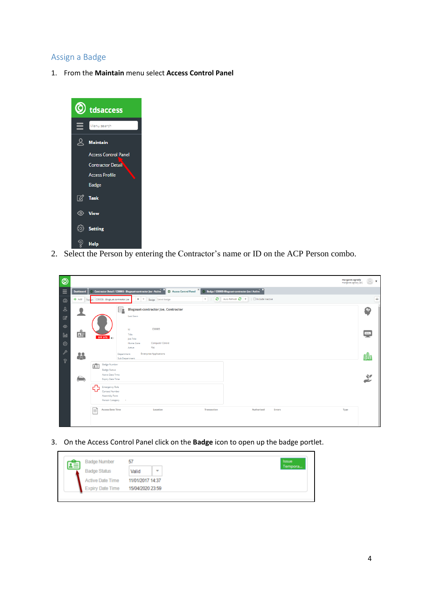# <span id="page-5-0"></span>Assign a Badge

1. From the **Maintain** menu select **Access Control Panel**



2. Select the Person by entering the Contractor's name or ID on the ACP Person combo.

| ◎              |                  |                                                                                                                                                                     | margaret.ogrady<br>$\geq$ $\cdot$<br>margaret.ogrady (all) |
|----------------|------------------|---------------------------------------------------------------------------------------------------------------------------------------------------------------------|------------------------------------------------------------|
| Ξ              | <b>Dashboard</b> | $\pmb{\times}$<br>© Contractor Detail / C00005 - Blogsuat-contractor Joe - Active<br>Access Control Panel<br>8 Badge / C00005-Blogsuat-contractor Joe / Active      |                                                            |
| $\odot$        |                  | $\mathbf{C}$ Auto Refresh $\mathbf{C}$ +<br>$\Box$ Include inactive<br>+ Add Person C00005 - Blogsuet-contractor Joe<br>$x -$<br>$\mathbf{v}$<br>Badge Select badge | ₿                                                          |
| కి             |                  | E.<br><b>Blogsuat-contractor Joe, Contractor</b>                                                                                                                    | ⊛                                                          |
| $\mathbb{Z}$   |                  | Last Seen                                                                                                                                                           |                                                            |
| $\circledcirc$ |                  | C00005<br>$\mathsf{Id}$                                                                                                                                             |                                                            |
| 0 <sub>0</sub> | 喧                | Title<br>OFF SITE<br>Job Title                                                                                                                                      | $\frac{1}{2}$                                              |
| හ              |                  | <b>Computer Centre</b><br>Home Zone<br>Yes<br>Active                                                                                                                |                                                            |
| $\mathscr{E}$  | 23               | <b>Enterprise Applications</b><br>Department                                                                                                                        | 輿                                                          |
| ବ              |                  | Sub Department<br><b>Badge Number</b><br>盾                                                                                                                          |                                                            |
|                |                  | <b>Badge Status</b>                                                                                                                                                 |                                                            |
|                | Բ                | Active Date Time<br>Expiry Date Time                                                                                                                                | $\ddot{\mathbf{z}}$                                        |
|                |                  | 畳<br>Emergency Role<br><b>Contact Number</b>                                                                                                                        |                                                            |
|                |                  | Assembly Point<br>Person Category<br>$\sim$                                                                                                                         |                                                            |
|                |                  |                                                                                                                                                                     |                                                            |
|                |                  | <b>Access Date Time</b><br>Location<br>Authorised<br>Transaction<br>Errors<br>Type                                                                                  |                                                            |
|                |                  |                                                                                                                                                                     |                                                            |

3. On the Access Control Panel click on the **Badge** icon to open up the badge portlet.

| <b>Badge Number</b>     | 57               | Issue   |
|-------------------------|------------------|---------|
| <b>Badge Status</b>     | Valid<br>٠       | Tempora |
| <b>Active Date Time</b> | 11/01/2017 14:37 |         |
| <b>Expiry Date Time</b> | 15/04/2020 23:59 |         |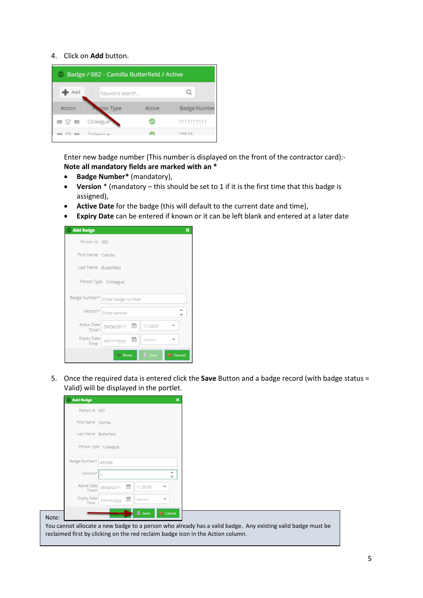#### 4. Click on **Add** button.

|          | <b>Badge / 082 - Camilla Butterfield / Active</b> |        |                     |
|----------|---------------------------------------------------|--------|---------------------|
| Add      | Keyword search                                    |        |                     |
| Action   | son Type                                          | Active | <b>Badge Number</b> |
| 88 (2 88 | Colleague                                         |        | 1111111111          |
|          | FR Collegeus                                      |        | フスロフス               |

Enter new badge number (This number is displayed on the front of the contractor card):- **Note all mandatory fields are marked with an \***

- **Badge Number\*** (mandatory),
- **Version** \* (mandatory this should be set to 1 if it is the first time that this badge is assigned),
- **Active Date** for the badge (this will default to the current date and time),
- **Expiry Date** can be entered if known or it can be left blank and entered at a later date

| <b>Add Badge</b>      |                                                | × |
|-----------------------|------------------------------------------------|---|
| Person Id 082         |                                                |   |
| First Name Camilla    |                                                |   |
| Last Name Butterfield |                                                |   |
|                       | Person Type Colleague                          |   |
| Badge Number*         | Enter badge number                             |   |
| Version*              | Enter version                                  |   |
| Active Date<br>Time*  | 09/06/2017 图<br>11:20:51                       |   |
| Expiry Date<br>Time   | 曲<br>hh:mm<br>dd/mm/yyyy                       |   |
|                       | <b>li</b> Save<br><b>X</b> Cancel<br>din Reset |   |

5. Once the required data is entered click the **Save** Button and a badge record (with badge status = Valid) will be displayed in the portlet.

| Person Id 082<br>First Name Camilla<br>Last Name Butterfield<br>Person Type Colleague<br>Badge Number*<br>435345<br>۰<br>Version*<br>Active Date<br>曲<br>11:22:02<br>09/06/2017<br>$\overline{\phantom{a}}$<br>Time*<br>Expiry Date<br>dd/mm/yyyy<br>hh:mm<br>٠<br>Time | <b>Add Badge</b> |  |      | $\mathbf x$ |  |
|-------------------------------------------------------------------------------------------------------------------------------------------------------------------------------------------------------------------------------------------------------------------------|------------------|--|------|-------------|--|
|                                                                                                                                                                                                                                                                         |                  |  |      |             |  |
|                                                                                                                                                                                                                                                                         |                  |  |      |             |  |
|                                                                                                                                                                                                                                                                         |                  |  |      |             |  |
|                                                                                                                                                                                                                                                                         |                  |  |      |             |  |
|                                                                                                                                                                                                                                                                         |                  |  |      |             |  |
|                                                                                                                                                                                                                                                                         |                  |  |      |             |  |
|                                                                                                                                                                                                                                                                         |                  |  |      |             |  |
|                                                                                                                                                                                                                                                                         |                  |  |      |             |  |
| <b>X</b> Cancel                                                                                                                                                                                                                                                         |                  |  | Save |             |  |
| You cannot allocate a new badge to a person who already has a valid badge. Any existing valid badge must be                                                                                                                                                             |                  |  |      |             |  |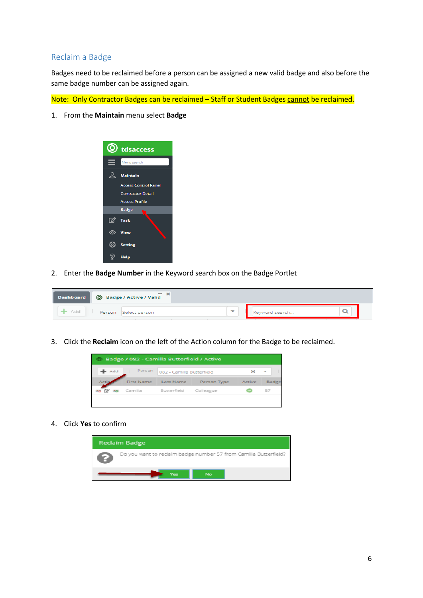## <span id="page-7-0"></span>Reclaim a Badge

Badges need to be reclaimed before a person can be assigned a new valid badge and also before the same badge number can be assigned again.

Note: Only Contractor Badges can be reclaimed - Staff or Student Badges cannot be reclaimed.

1. From the **Maintain** menu select **Badge**



2. Enter the **Badge Number** in the Keyword search box on the Badge Portlet

|       | $- x$<br>Dashboard   © Badge / Active / Valid |   |                |   |
|-------|-----------------------------------------------|---|----------------|---|
| - Add | Person<br>Select person                       | ۰ | Keyword search | ـ |

3. Click the **Reclaim** icon on the left of the Action column for the Badge to be reclaimed.

| © Badge / 082 - Camilla Butterfield / Active |            |                           |             |        |       |  |
|----------------------------------------------|------------|---------------------------|-------------|--------|-------|--|
| Add                                          | Person     | 082 - Camilla Butterfield |             |        |       |  |
| Actic                                        | First Name | Last Name                 | Person Type | Active | Badge |  |
|                                              | Camilla    | Butterfield               | Colleague   |        | 57    |  |
|                                              |            |                           |             |        |       |  |

4. Click **Yes** to confirm

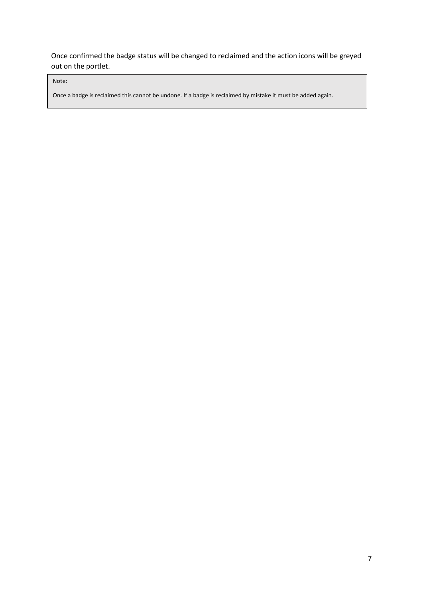Once confirmed the badge status will be changed to reclaimed and the action icons will be greyed out on the portlet.

Note:

Once a badge is reclaimed this cannot be undone. If a badge is reclaimed by mistake it must be added again.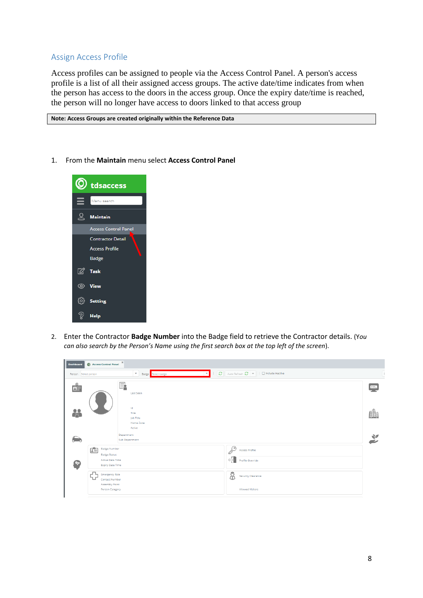## <span id="page-9-0"></span>Assign Access Profile

Access profiles can be assigned to people via the Access Control Panel. A person's access profile is a list of all their assigned access groups. The active date/time indicates from when the person has access to the doors in the access group. Once the expiry date/time is reached, the person will no longer have access to doors linked to that access group

**Note: Access Groups are created originally within the Reference Data** 

1. From the **Maintain** menu select **Access Control Panel**



2. Enter the Contractor **Badge Number** into the Badge field to retrieve the Contractor details. (Y*ou can also search by the Person's Name using the first search box at the top left of the screen*).

| <b>Dashboard</b>    | Access Control Panel                                                                                                                                                                                      | $\infty$                                                                                                 |                                                                                                               |                            |
|---------------------|-----------------------------------------------------------------------------------------------------------------------------------------------------------------------------------------------------------|----------------------------------------------------------------------------------------------------------|---------------------------------------------------------------------------------------------------------------|----------------------------|
|                     | Person Select person                                                                                                                                                                                      | $\overline{\mathbf{v}}$<br>Badge Select badge                                                            | Auto Refresh $\alpha$ v   0 Include inactive<br>$\sim$ 1                                                      |                            |
| $\Omega$<br>효<br>28 |                                                                                                                                                                                                           | Ę<br><b>Last Seen</b><br>Id<br>Title<br>Job Title<br>Home Zone<br>Active<br>Department<br>Sub Department |                                                                                                               | $***.$<br>$\sum_{i=1}^{n}$ |
| e.                  | 姜<br><b>Badge Number</b><br><b>Badge Status</b><br><b>Active Date Time</b><br><b>Expiry Date Time</b><br>ъņ<br><b>Emergency Role</b><br><b>Contact Number</b><br><b>Assembly Point</b><br>Person Category |                                                                                                          | P<br>Access Profile<br>$\circ \neg$<br>Profile Override<br>8<br><b>Security Clearance</b><br>Allowed Visitors |                            |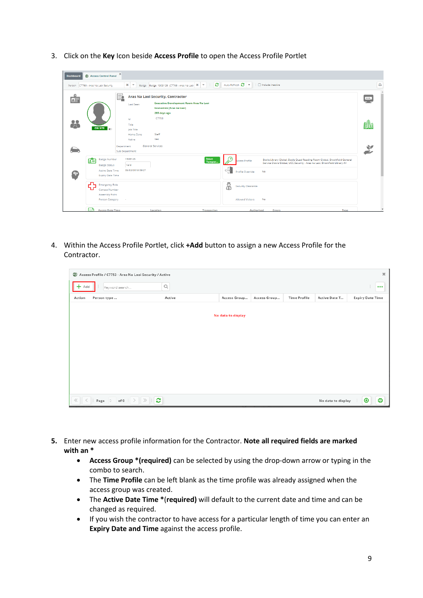3. Click on the **Key** Icon beside **Access Profile** to open the Access Profile Portlet

| <b>Dashboard</b>    | 6 Access Control Panel                                                                                                  | $\mathbf{x}$                                                                     |                                                                                                                                                                                            |                                                           |                                                                                                                                                       |              |
|---------------------|-------------------------------------------------------------------------------------------------------------------------|----------------------------------------------------------------------------------|--------------------------------------------------------------------------------------------------------------------------------------------------------------------------------------------|-----------------------------------------------------------|-------------------------------------------------------------------------------------------------------------------------------------------------------|--------------|
|                     | Person C7753 - Aras Na Laoi Security                                                                                    | $x \rightarrow$                                                                  | ØΙ<br>Badge Badge: 1909125 (C7753 - Aras Na Laoi   *   *                                                                                                                                   | Auto Refresh 2                                            | □ Include inactive                                                                                                                                    | $\Theta$     |
| $\Omega$<br>모든<br>용 | ON SITE                                                                                                                 | E.<br>Last Seen<br>Id<br>Title<br>Job Title<br>Home Zone<br>Active<br>Department | Aras Na Laoi Security, Contractor<br><b>Executive Development Room Aras Na Laoi</b><br><b>Economics (Aras na Laoi)</b><br>285 days ago<br>C7753<br>Staff<br>Yes<br><b>General Services</b> |                                                           |                                                                                                                                                       | $***.$<br>鶽  |
|                     | 盾<br><b>Badge Number</b><br><b>Badge Status</b>                                                                         | Sub Department<br>1909125<br>Valid                                               | Issue<br>Tempor                                                                                                                                                                            | ം<br>ccess Profile                                        | Boole Library Global, Boole Quad Reading Room Global, Brookfield General<br>Service Doors Global, UCC Security - Aras na Laoi, Brookfield Library All | $\mathbb{Z}$ |
|                     | <b>Active Date Time</b><br><b>Expiry Date Time</b>                                                                      | 05/02/2018 09:27                                                                 |                                                                                                                                                                                            | $\frac{1}{\sqrt{2}}$<br>Profile Override                  | <b>No</b>                                                                                                                                             |              |
|                     | $\mathbf{r}^{\mathbf{n}}$<br><b>Emergency Role</b><br><b>Contact Number</b><br><b>Assembly Point</b><br>Person Category | ×                                                                                |                                                                                                                                                                                            | å<br><b>Security Clearance</b><br><b>Allowed Visitors</b> | <b>No</b>                                                                                                                                             |              |
|                     | ⊐<br><b>Access Date Time</b>                                                                                            |                                                                                  | Location<br><b>Transaction</b>                                                                                                                                                             | <b>Authorised</b>                                         | Type<br>Errors                                                                                                                                        |              |

4. Within the Access Profile Portlet, click **+Add** button to assign a new Access Profile for the Contractor.

|        | Access Profile / C7753 - Aras Na Laoi Security / Active                                                                                                                                                                                                                                                                            |                       |                    |              |                     |                    | $\boldsymbol{\varkappa}$ |
|--------|------------------------------------------------------------------------------------------------------------------------------------------------------------------------------------------------------------------------------------------------------------------------------------------------------------------------------------|-----------------------|--------------------|--------------|---------------------|--------------------|--------------------------|
| Add    | Keyword search                                                                                                                                                                                                                                                                                                                     | $\hbox{\large \it Q}$ |                    |              |                     |                    | $\bullet\bullet\bullet$  |
| Action | Person type                                                                                                                                                                                                                                                                                                                        | Active                | Access Group       | Access Group | <b>Time Profile</b> | Active Date T      | <b>Expiry Date Time</b>  |
|        |                                                                                                                                                                                                                                                                                                                                    |                       | No data to display |              |                     |                    |                          |
|        | $\mathbb{R}$ $\mathbb{R}$ $\mathbb{R}$ $\mathbb{R}$ $\mathbb{R}$ $\mathbb{R}$ $\mathbb{R}$ $\mathbb{R}$ $\mathbb{R}$ $\mathbb{R}$ $\mathbb{R}$ $\mathbb{R}$ $\mathbb{R}$ $\mathbb{R}$ $\mathbb{R}$ $\mathbb{R}$ $\mathbb{R}$ $\mathbb{R}$ $\mathbb{R}$ $\mathbb{R}$ $\mathbb{R}$ $\mathbb{R}$ $\mathbb{R}$ $\mathbb{R}$ $\mathbb{$ |                       |                    |              |                     | No data to display | 8<br>⊕                   |

- **5.** Enter new access profile information for the Contractor. **Note all required fields are marked with an \***
	- **Access Group \*(required)** can be selected by using the drop-down arrow or typing in the combo to search.
	- The **Time Profile** can be left blank as the time profile was already assigned when the access group was created.
	- The **Active Date Time \***(**required)** will default to the current date and time and can be changed as required.
	- If you wish the contractor to have access for a particular length of time you can enter an **Expiry Date and Time** against the access profile.